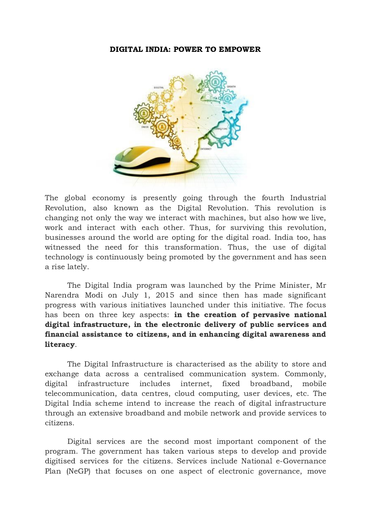## DIGITAL INDIA: POWER TO EMPOWER



The global economy is presently going through the fourth Industrial Revolution, also known as the Digital Revolution. This revolution is changing not only the way we interact with machines, but also how we live, work and interact with each other. Thus, for surviving this revolution, businesses around the world are opting for the digital road. India too, has witnessed the need for this transformation. Thus, the use of digital technology is continuously being promoted by the government and has seen a rise lately.

The Digital India program was launched by the Prime Minister, Mr Narendra Modi on July 1, 2015 and since then has made significant progress with various initiatives launched under this initiative. The focus has been on three key aspects: in the creation of pervasive national digital infrastructure, in the electronic delivery of public services and financial assistance to citizens, and in enhancing digital awareness and literacy.

The Digital Infrastructure is characterised as the ability to store and exchange data across a centralised communication system. Commonly, digital infrastructure includes internet, fixed broadband, mobile telecommunication, data centres, cloud computing, user devices, etc. The Digital India scheme intend to increase the reach of digital infrastructure through an extensive broadband and mobile network and provide services to citizens.

Digital services are the second most important component of the program. The government has taken various steps to develop and provide digitised services for the citizens. Services include National e-Governance Plan (NeGP) that focuses on one aspect of electronic governance, move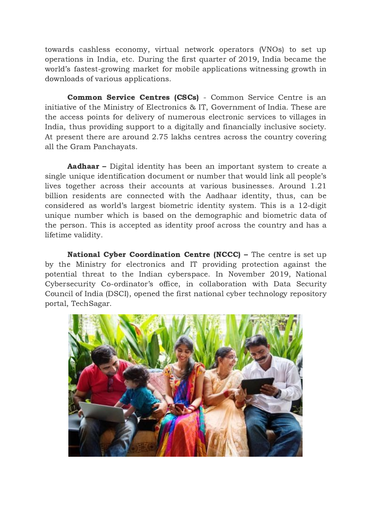towards cashless economy, virtual network operators (VNOs) to set up operations in India, etc. During the first quarter of 2019, India became the world's fastest-growing market for mobile applications witnessing growth in downloads of various applications.

Common Service Centres (CSCs) - Common Service Centre is an initiative of the Ministry of Electronics & IT, Government of India. These are the access points for delivery of numerous electronic services to villages in India, thus providing support to a digitally and financially inclusive society. At present there are around 2.75 lakhs centres across the country covering all the Gram Panchayats.

Aadhaar – Digital identity has been an important system to create a single unique identification document or number that would link all people's lives together across their accounts at various businesses. Around 1.21 billion residents are connected with the Aadhaar identity, thus, can be considered as world's largest biometric identity system. This is a 12-digit unique number which is based on the demographic and biometric data of the person. This is accepted as identity proof across the country and has a lifetime validity.

National Cyber Coordination Centre (NCCC) – The centre is set up by the Ministry for electronics and IT providing protection against the potential threat to the Indian cyberspace. In November 2019, National Cybersecurity Co-ordinator's office, in collaboration with Data Security Council of India (DSCI), opened the first national cyber technology repository portal, TechSagar.

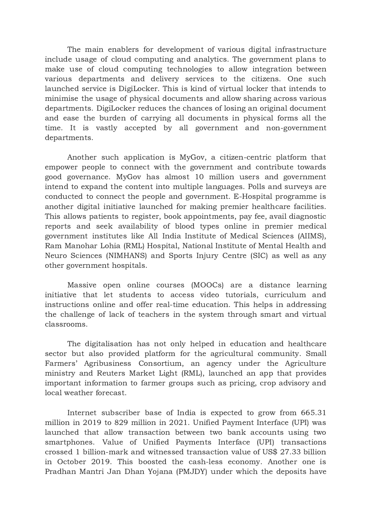The main enablers for development of various digital infrastructure include usage of cloud computing and analytics. The government plans to make use of cloud computing technologies to allow integration between various departments and delivery services to the citizens. One such launched service is DigiLocker. This is kind of virtual locker that intends to minimise the usage of physical documents and allow sharing across various departments. DigiLocker reduces the chances of losing an original document and ease the burden of carrying all documents in physical forms all the time. It is vastly accepted by all government and non-government departments.

Another such application is MyGov, a citizen-centric platform that empower people to connect with the government and contribute towards good governance. MyGov has almost 10 million users and government intend to expand the content into multiple languages. Polls and surveys are conducted to connect the people and government. E-Hospital programme is another digital initiative launched for making premier healthcare facilities. This allows patients to register, book appointments, pay fee, avail diagnostic reports and seek availability of blood types online in premier medical government institutes like All India Institute of Medical Sciences (AIIMS), Ram Manohar Lohia (RML) Hospital, National Institute of Mental Health and Neuro Sciences (NIMHANS) and Sports Injury Centre (SIC) as well as any other government hospitals.

Massive open online courses (MOOCs) are a distance learning initiative that let students to access video tutorials, curriculum and instructions online and offer real-time education. This helps in addressing the challenge of lack of teachers in the system through smart and virtual classrooms.

The digitalisation has not only helped in education and healthcare sector but also provided platform for the agricultural community. Small Farmers' Agribusiness Consortium, an agency under the Agriculture ministry and Reuters Market Light (RML), launched an app that provides important information to farmer groups such as pricing, crop advisory and local weather forecast.

Internet subscriber base of India is expected to grow from 665.31 million in 2019 to 829 million in 2021. Unified Payment Interface (UPI) was launched that allow transaction between two bank accounts using two smartphones. Value of Unified Payments Interface (UPI) transactions crossed 1 billion-mark and witnessed transaction value of US\$ 27.33 billion in October 2019. This boosted the cash-less economy. Another one is Pradhan Mantri Jan Dhan Yojana (PMJDY) under which the deposits have